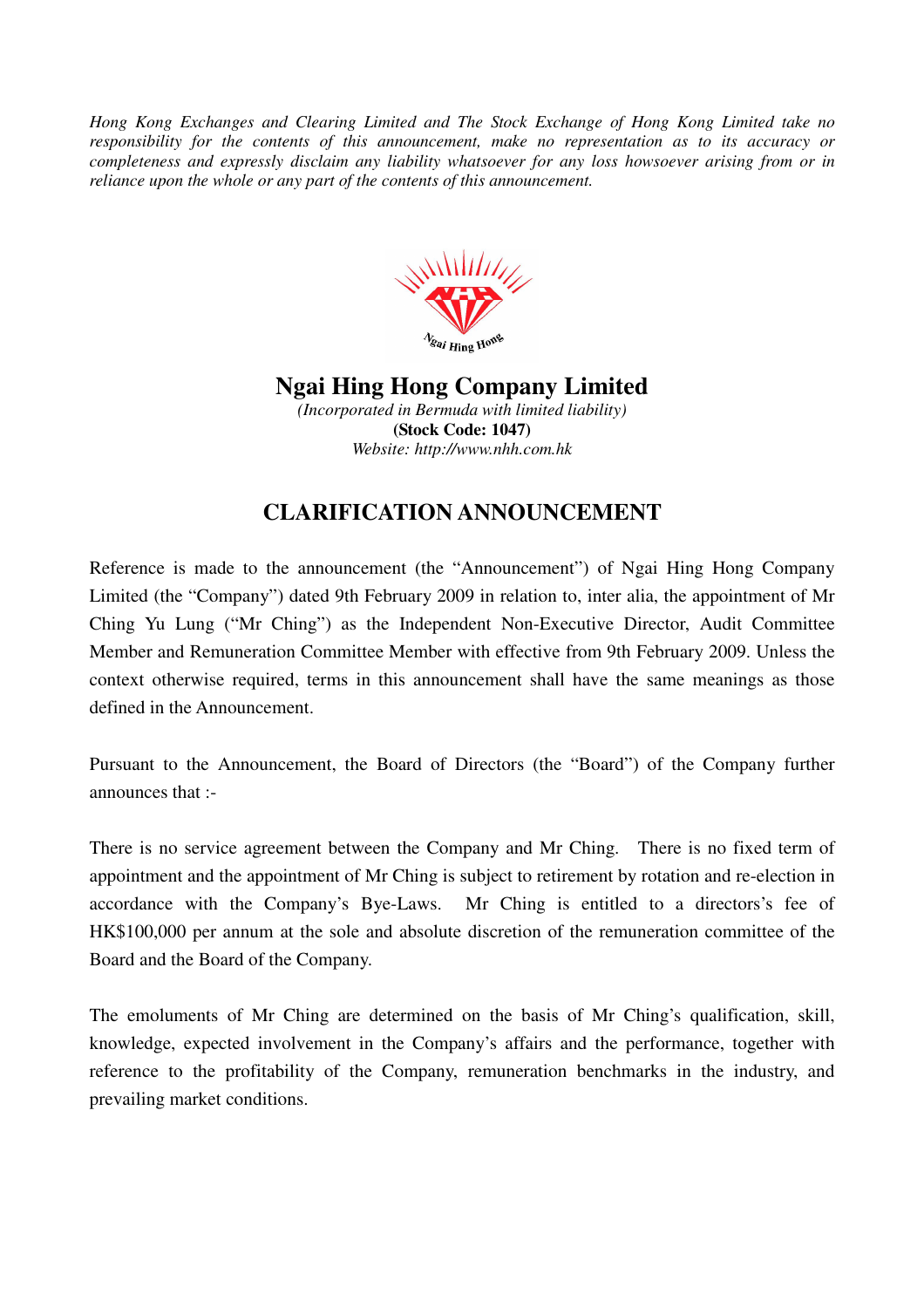*Hong Kong Exchanges and Clearing Limited and The Stock Exchange of Hong Kong Limited take no responsibility for the contents of this announcement, make no representation as to its accuracy or completeness and expressly disclaim any liability whatsoever for any loss howsoever arising from or in reliance upon the whole or any part of the contents of this announcement.* 



## **Ngai Hing Hong Company Limited**

*(Incorporated in Bermuda with limited liability)*  **(Stock Code: 1047)**  *Website: http://www.nhh.com.hk* 

## **CLARIFICATION ANNOUNCEMENT**

Reference is made to the announcement (the "Announcement") of Ngai Hing Hong Company Limited (the "Company") dated 9th February 2009 in relation to, inter alia, the appointment of Mr Ching Yu Lung ("Mr Ching") as the Independent Non-Executive Director, Audit Committee Member and Remuneration Committee Member with effective from 9th February 2009. Unless the context otherwise required, terms in this announcement shall have the same meanings as those defined in the Announcement.

Pursuant to the Announcement, the Board of Directors (the "Board") of the Company further announces that :-

There is no service agreement between the Company and Mr Ching. There is no fixed term of appointment and the appointment of Mr Ching is subject to retirement by rotation and re-election in accordance with the Company's Bye-Laws. Mr Ching is entitled to a directors's fee of HK\$100,000 per annum at the sole and absolute discretion of the remuneration committee of the Board and the Board of the Company.

The emoluments of Mr Ching are determined on the basis of Mr Ching's qualification, skill, knowledge, expected involvement in the Company's affairs and the performance, together with reference to the profitability of the Company, remuneration benchmarks in the industry, and prevailing market conditions.